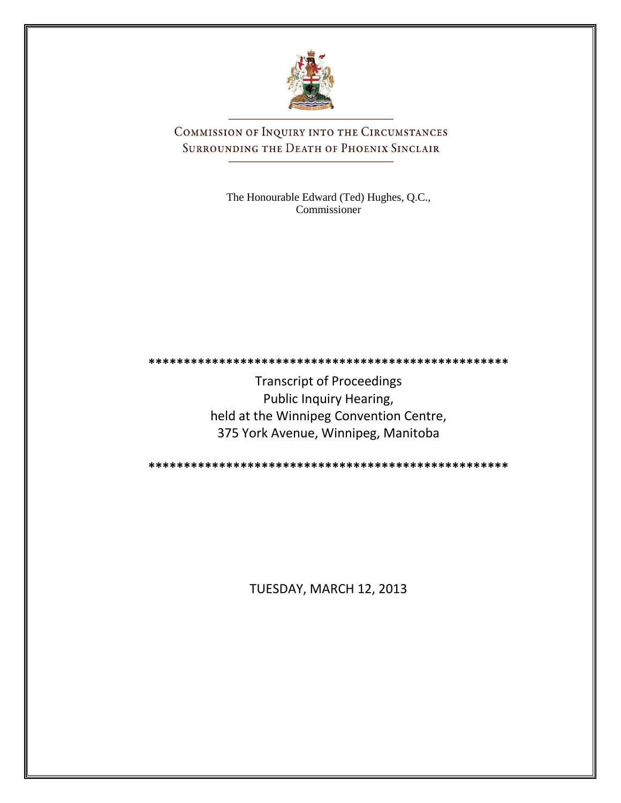

COMMISSION OF INQUIRY INTO THE CIRCUMSTANCES SURROUNDING THE DEATH OF PHOENIX SINCLAIR

> The Honourable Edward (Ted) Hughes, Q.C., Commissioner

**\*\*\*\*\*\*\*\*\*\*\*\*\*\*\*\*\*\*\*\*\*\*\*\*\*\*\*\*\*\*\*\*\*\*\*\*\*\*\*\*\*\*\*\*\*\*\*\*\*\*\***

Transcript of Proceedings Public Inquiry Hearing, held at the Winnipeg Convention Centre, 375 York Avenue, Winnipeg, Manitoba

**\*\*\*\*\*\*\*\*\*\*\*\*\*\*\*\*\*\*\*\*\*\*\*\*\*\*\*\*\*\*\*\*\*\*\*\*\*\*\*\*\*\*\*\*\*\*\*\*\*\*\***

TUESDAY, MARCH 12, 2013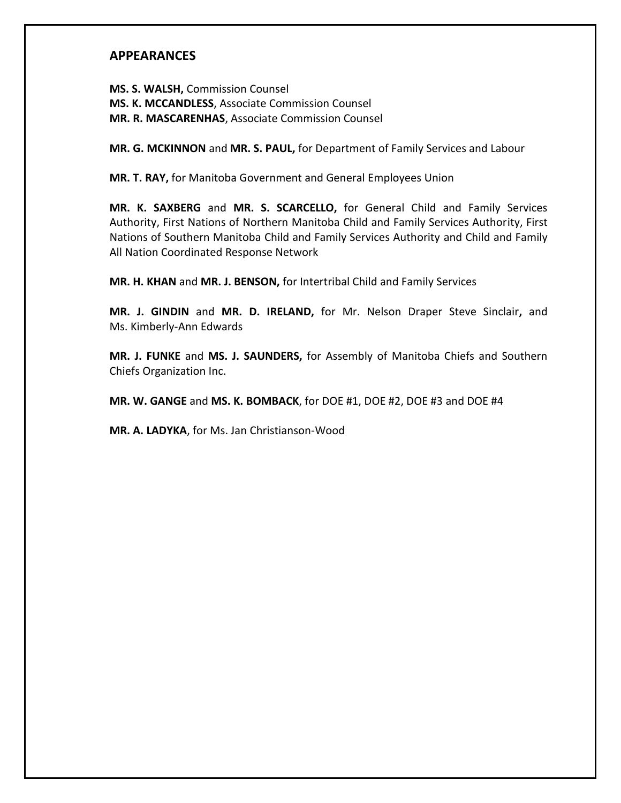## **APPEARANCES**

**MS. S. WALSH,** Commission Counsel **MS. K. MCCANDLESS**, Associate Commission Counsel **MR. R. MASCARENHAS**, Associate Commission Counsel

**MR. G. MCKINNON** and **MR. S. PAUL,** for Department of Family Services and Labour

**MR. T. RAY,** for Manitoba Government and General Employees Union

**MR. K. SAXBERG** and **MR. S. SCARCELLO,** for General Child and Family Services Authority, First Nations of Northern Manitoba Child and Family Services Authority, First Nations of Southern Manitoba Child and Family Services Authority and Child and Family All Nation Coordinated Response Network

**MR. H. KHAN** and **MR. J. BENSON,** for Intertribal Child and Family Services

**MR. J. GINDIN** and **MR. D. IRELAND,** for Mr. Nelson Draper Steve Sinclair**,** and Ms. Kimberly-Ann Edwards

**MR. J. FUNKE** and **MS. J. SAUNDERS,** for Assembly of Manitoba Chiefs and Southern Chiefs Organization Inc.

**MR. W. GANGE** and **MS. K. BOMBACK**, for DOE #1, DOE #2, DOE #3 and DOE #4

**MR. A. LADYKA**, for Ms. Jan Christianson-Wood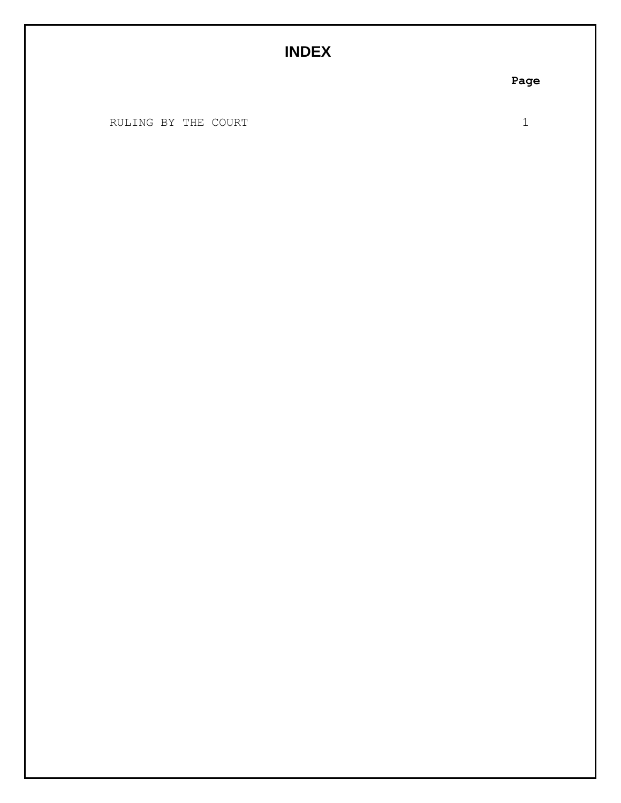## **INDEX**

RULING BY THE COURT 1

**Page**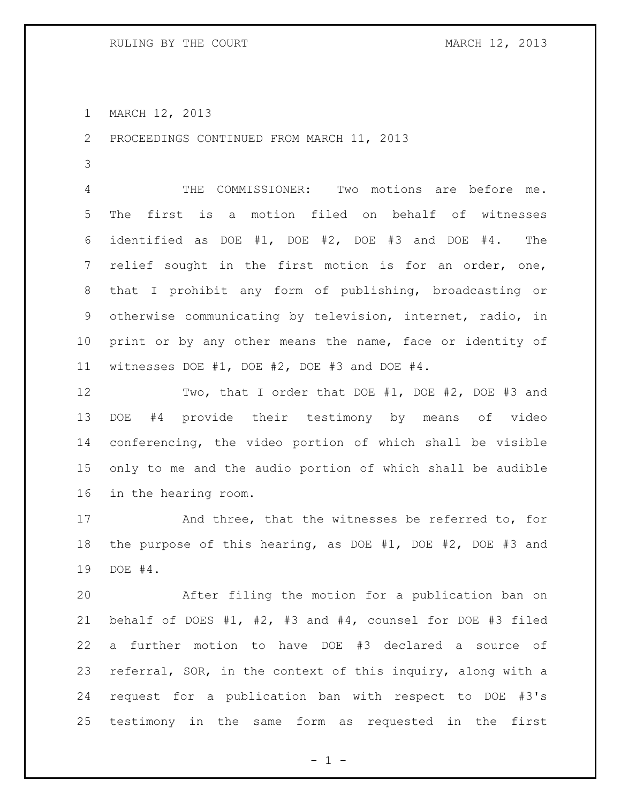MARCH 12, 2013

PROCEEDINGS CONTINUED FROM MARCH 11, 2013

 THE COMMISSIONER: Two motions are before me. The first is a motion filed on behalf of witnesses identified as DOE #1, DOE #2, DOE #3 and DOE #4. The relief sought in the first motion is for an order, one, that I prohibit any form of publishing, broadcasting or otherwise communicating by television, internet, radio, in 10 print or by any other means the name, face or identity of witnesses DOE #1, DOE #2, DOE #3 and DOE #4.

 Two, that I order that DOE #1, DOE #2, DOE #3 and DOE #4 provide their testimony by means of video conferencing, the video portion of which shall be visible only to me and the audio portion of which shall be audible in the hearing room.

 And three, that the witnesses be referred to, for the purpose of this hearing, as DOE #1, DOE #2, DOE #3 and DOE #4.

 After filing the motion for a publication ban on behalf of DOES #1, #2, #3 and #4, counsel for DOE #3 filed a further motion to have DOE #3 declared a source of referral, SOR, in the context of this inquiry, along with a request for a publication ban with respect to DOE #3's testimony in the same form as requested in the first

 $- 1 -$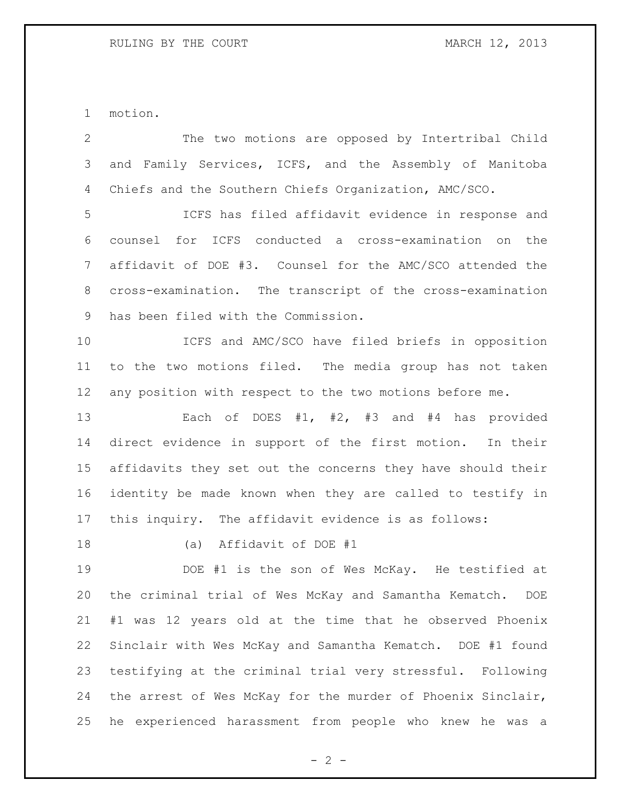motion.

 The two motions are opposed by Intertribal Child and Family Services, ICFS, and the Assembly of Manitoba Chiefs and the Southern Chiefs Organization, AMC/SCO.

 ICFS has filed affidavit evidence in response and counsel for ICFS conducted a cross-examination on the affidavit of DOE #3. Counsel for the AMC/SCO attended the cross-examination. The transcript of the cross-examination has been filed with the Commission.

 ICFS and AMC/SCO have filed briefs in opposition to the two motions filed. The media group has not taken any position with respect to the two motions before me.

 Each of DOES #1, #2, #3 and #4 has provided direct evidence in support of the first motion. In their affidavits they set out the concerns they have should their identity be made known when they are called to testify in this inquiry. The affidavit evidence is as follows:

(a) Affidavit of DOE #1

 DOE #1 is the son of Wes McKay. He testified at the criminal trial of Wes McKay and Samantha Kematch. DOE #1 was 12 years old at the time that he observed Phoenix Sinclair with Wes McKay and Samantha Kematch. DOE #1 found testifying at the criminal trial very stressful. Following the arrest of Wes McKay for the murder of Phoenix Sinclair, he experienced harassment from people who knew he was a

 $- 2 -$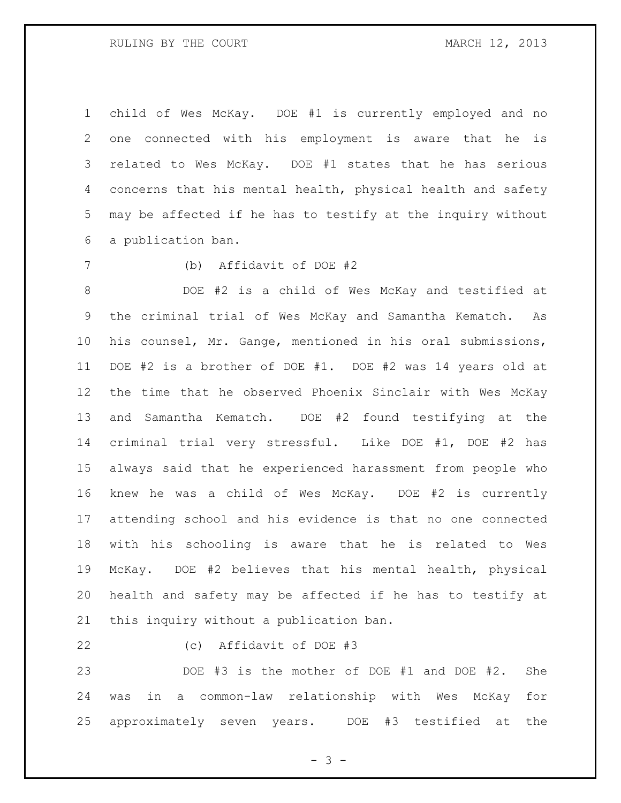child of Wes McKay. DOE #1 is currently employed and no one connected with his employment is aware that he is related to Wes McKay. DOE #1 states that he has serious concerns that his mental health, physical health and safety may be affected if he has to testify at the inquiry without a publication ban.

(b) Affidavit of DOE #2

 DOE #2 is a child of Wes McKay and testified at the criminal trial of Wes McKay and Samantha Kematch. As his counsel, Mr. Gange, mentioned in his oral submissions, DOE #2 is a brother of DOE #1. DOE #2 was 14 years old at the time that he observed Phoenix Sinclair with Wes McKay and Samantha Kematch. DOE #2 found testifying at the criminal trial very stressful. Like DOE #1, DOE #2 has always said that he experienced harassment from people who knew he was a child of Wes McKay. DOE #2 is currently attending school and his evidence is that no one connected with his schooling is aware that he is related to Wes McKay. DOE #2 believes that his mental health, physical health and safety may be affected if he has to testify at this inquiry without a publication ban.

- 
- (c) Affidavit of DOE #3

 DOE #3 is the mother of DOE #1 and DOE #2. She was in a common-law relationship with Wes McKay for approximately seven years. DOE #3 testified at the

- 3 -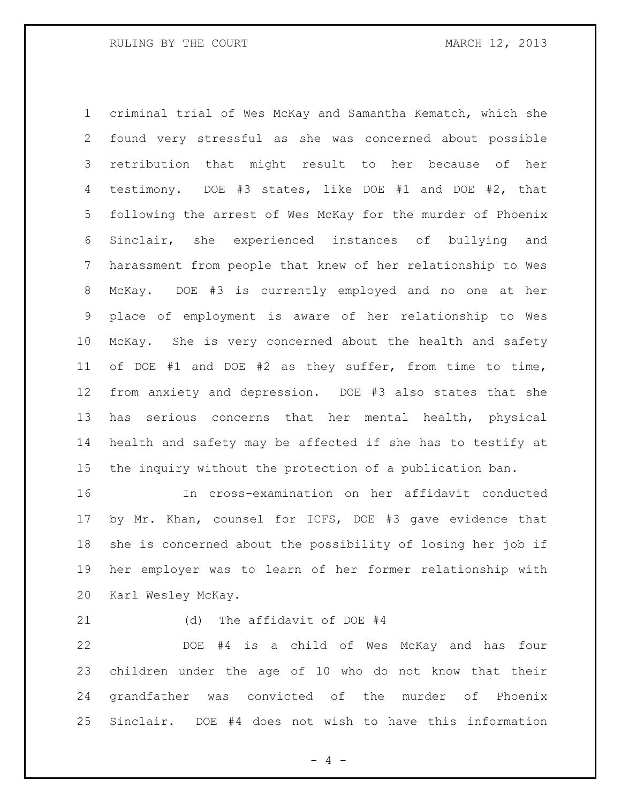criminal trial of Wes McKay and Samantha Kematch, which she found very stressful as she was concerned about possible retribution that might result to her because of her testimony. DOE #3 states, like DOE #1 and DOE #2, that following the arrest of Wes McKay for the murder of Phoenix Sinclair, she experienced instances of bullying and harassment from people that knew of her relationship to Wes McKay. DOE #3 is currently employed and no one at her place of employment is aware of her relationship to Wes McKay. She is very concerned about the health and safety of DOE #1 and DOE #2 as they suffer, from time to time, from anxiety and depression. DOE #3 also states that she has serious concerns that her mental health, physical health and safety may be affected if she has to testify at the inquiry without the protection of a publication ban.

 In cross-examination on her affidavit conducted by Mr. Khan, counsel for ICFS, DOE #3 gave evidence that she is concerned about the possibility of losing her job if her employer was to learn of her former relationship with Karl Wesley McKay.

(d) The affidavit of DOE #4

 DOE #4 is a child of Wes McKay and has four children under the age of 10 who do not know that their grandfather was convicted of the murder of Phoenix Sinclair. DOE #4 does not wish to have this information

 $- 4 -$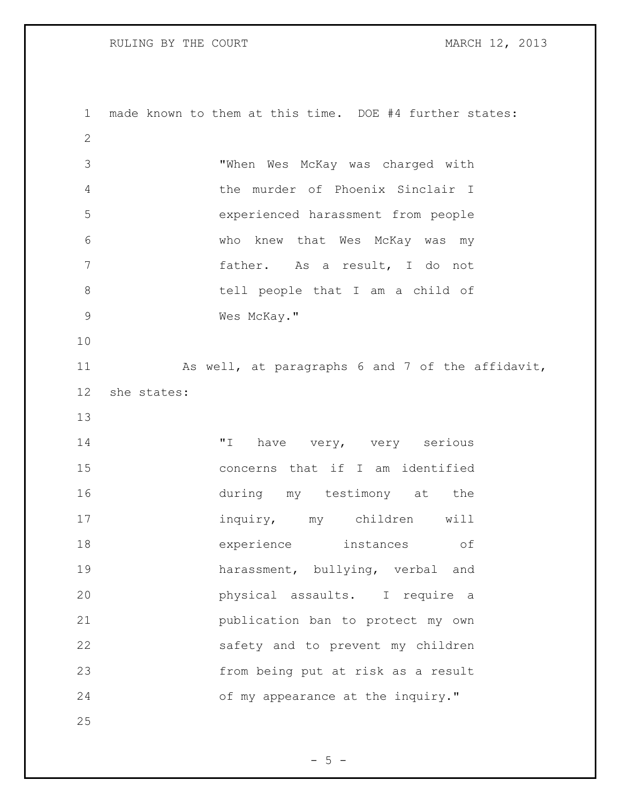RULING BY THE COURT **MARCH 12, 2013** 

 made known to them at this time. DOE #4 further states: "When Wes McKay was charged with the murder of Phoenix Sinclair I experienced harassment from people who knew that Wes McKay was my father. As a result, I do not 8 b tell people that I am a child of Wes McKay." As well, at paragraphs 6 and 7 of the affidavit, she states:  $\blacksquare$  Thave very, very serious concerns that if I am identified during my testimony at the inquiry, my children will experience instances of harassment, bullying, verbal and physical assaults. I require a publication ban to protect my own safety and to prevent my children from being put at risk as a result 24 of my appearance at the inquiry." 

 $- 5 -$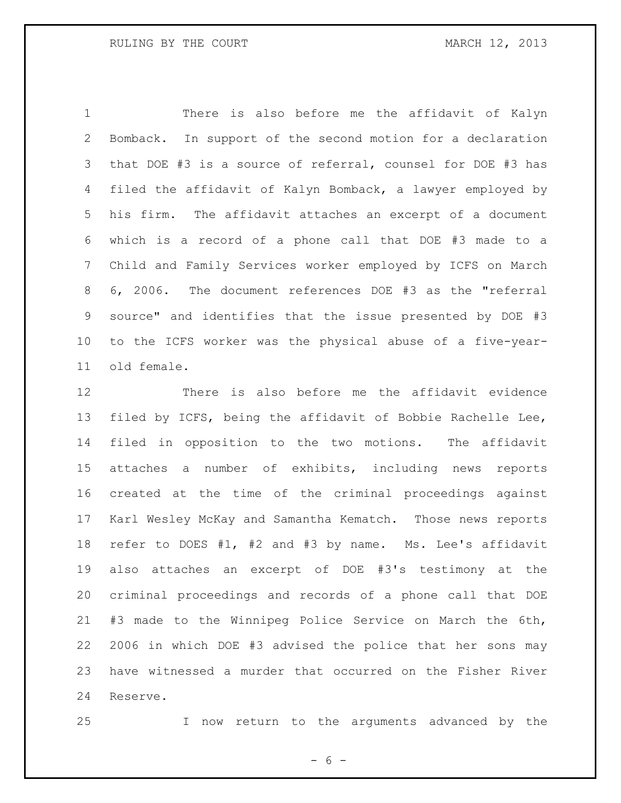There is also before me the affidavit of Kalyn Bomback. In support of the second motion for a declaration that DOE #3 is a source of referral, counsel for DOE #3 has filed the affidavit of Kalyn Bomback, a lawyer employed by his firm. The affidavit attaches an excerpt of a document which is a record of a phone call that DOE #3 made to a Child and Family Services worker employed by ICFS on March 6, 2006. The document references DOE #3 as the "referral source" and identifies that the issue presented by DOE #3 to the ICFS worker was the physical abuse of a five-year-old female.

 There is also before me the affidavit evidence filed by ICFS, being the affidavit of Bobbie Rachelle Lee, filed in opposition to the two motions. The affidavit attaches a number of exhibits, including news reports created at the time of the criminal proceedings against Karl Wesley McKay and Samantha Kematch. Those news reports refer to DOES #1, #2 and #3 by name. Ms. Lee's affidavit also attaches an excerpt of DOE #3's testimony at the criminal proceedings and records of a phone call that DOE #3 made to the Winnipeg Police Service on March the 6th, 2006 in which DOE #3 advised the police that her sons may have witnessed a murder that occurred on the Fisher River Reserve.

I now return to the arguments advanced by the

- 6 -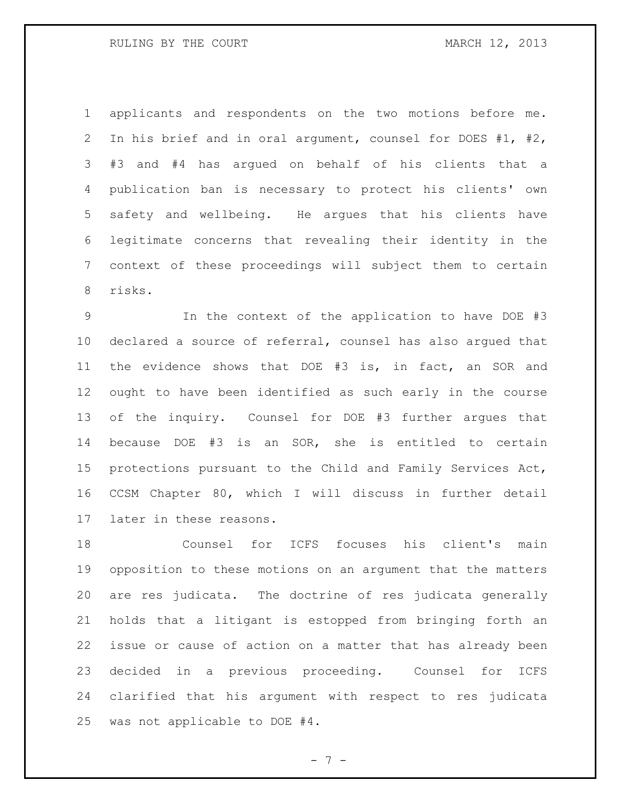applicants and respondents on the two motions before me. In his brief and in oral argument, counsel for DOES #1, #2, #3 and #4 has argued on behalf of his clients that a publication ban is necessary to protect his clients' own safety and wellbeing. He argues that his clients have legitimate concerns that revealing their identity in the context of these proceedings will subject them to certain risks.

 In the context of the application to have DOE #3 declared a source of referral, counsel has also argued that the evidence shows that DOE #3 is, in fact, an SOR and ought to have been identified as such early in the course of the inquiry. Counsel for DOE #3 further argues that because DOE #3 is an SOR, she is entitled to certain protections pursuant to the Child and Family Services Act, CCSM Chapter 80, which I will discuss in further detail later in these reasons.

 Counsel for ICFS focuses his client's main opposition to these motions on an argument that the matters are res judicata. The doctrine of res judicata generally holds that a litigant is estopped from bringing forth an issue or cause of action on a matter that has already been decided in a previous proceeding. Counsel for ICFS clarified that his argument with respect to res judicata was not applicable to DOE #4.

- 7 -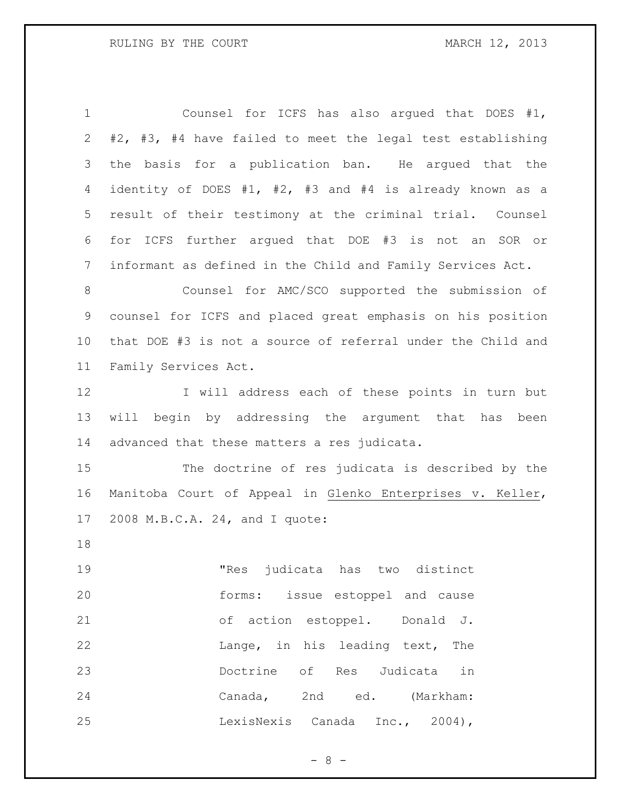Counsel for ICFS has also argued that DOES #1, #2, #3, #4 have failed to meet the legal test establishing the basis for a publication ban. He argued that the identity of DOES #1, #2, #3 and #4 is already known as a result of their testimony at the criminal trial. Counsel for ICFS further argued that DOE #3 is not an SOR or informant as defined in the Child and Family Services Act. Counsel for AMC/SCO supported the submission of counsel for ICFS and placed great emphasis on his position that DOE #3 is not a source of referral under the Child and Family Services Act. I will address each of these points in turn but will begin by addressing the argument that has been advanced that these matters a res judicata. The doctrine of res judicata is described by the Manitoba Court of Appeal in Glenko Enterprises v. Keller, 2008 M.B.C.A. 24, and I quote: "Res judicata has two distinct forms: issue estoppel and cause of action estoppel. Donald J. **Lange**, in his leading text, The Doctrine of Res Judicata in Canada, 2nd ed. (Markham: LexisNexis Canada Inc., 2004),

 $- 8 -$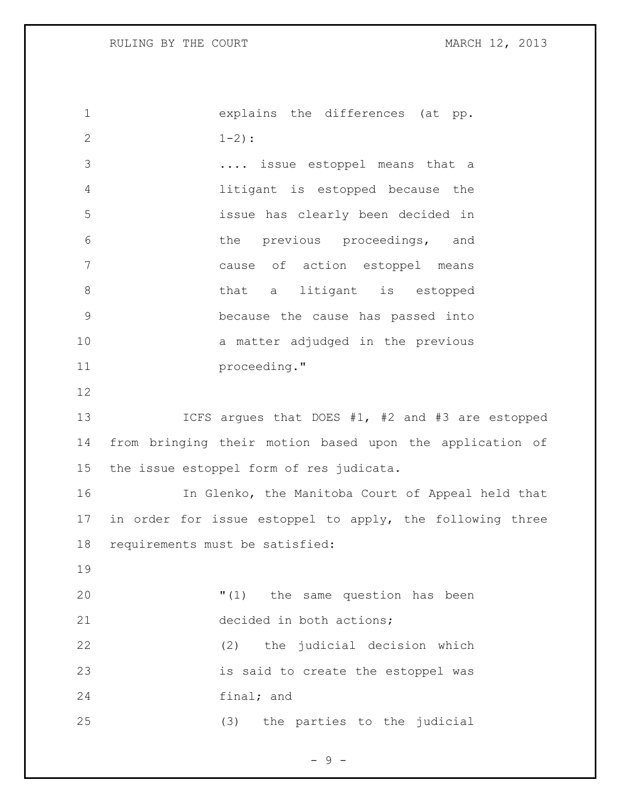| $\mathbf 1$    | explains the differences (at pp.                          |
|----------------|-----------------------------------------------------------|
| $\mathbf{2}$   | $1 - 2)$ :                                                |
| 3              | issue estoppel means that a                               |
| 4              | litigant is estopped because the                          |
| 5              | issue has clearly been decided in                         |
| 6              | the previous proceedings, and                             |
| 7              | cause of action estoppel means                            |
| $8\,$          | that a litigant is estopped                               |
| $\overline{9}$ | because the cause has passed into                         |
| 10             | a matter adjudged in the previous                         |
| 11             | proceeding."                                              |
| 12             |                                                           |
| 13             | ICFS argues that DOES #1, #2 and #3 are estopped          |
| 14             | from bringing their motion based upon the application of  |
| 15             | the issue estoppel form of res judicata.                  |
| 16             | In Glenko, the Manitoba Court of Appeal held that         |
| 17             | in order for issue estoppel to apply, the following three |
| 18             | requirements must be satisfied:                           |
| 19             |                                                           |
| 20             | "(1) the same question has been                           |
| 21             | decided in both actions;                                  |
| 22             | the judicial decision which<br>(2)                        |
| 23             | is said to create the estoppel was                        |
| 24             | final; and                                                |
| 25             | (3) the parties to the judicial                           |

- 9 -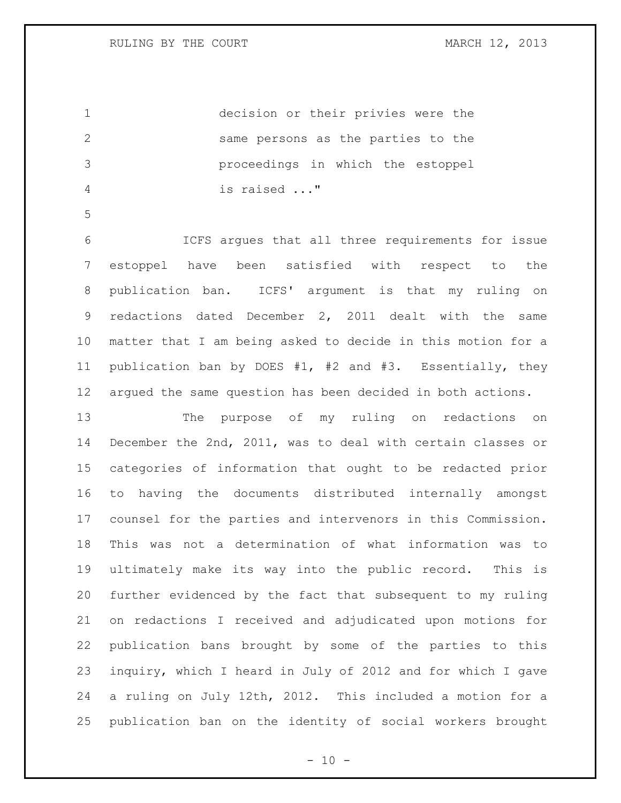decision or their privies were the same persons as the parties to the proceedings in which the estoppel is raised ..."

 ICFS argues that all three requirements for issue estoppel have been satisfied with respect to the publication ban. ICFS' argument is that my ruling on redactions dated December 2, 2011 dealt with the same matter that I am being asked to decide in this motion for a publication ban by DOES #1, #2 and #3. Essentially, they argued the same question has been decided in both actions.

 The purpose of my ruling on redactions on December the 2nd, 2011, was to deal with certain classes or categories of information that ought to be redacted prior to having the documents distributed internally amongst counsel for the parties and intervenors in this Commission. This was not a determination of what information was to ultimately make its way into the public record. This is further evidenced by the fact that subsequent to my ruling on redactions I received and adjudicated upon motions for publication bans brought by some of the parties to this inquiry, which I heard in July of 2012 and for which I gave a ruling on July 12th, 2012. This included a motion for a publication ban on the identity of social workers brought

 $- 10 -$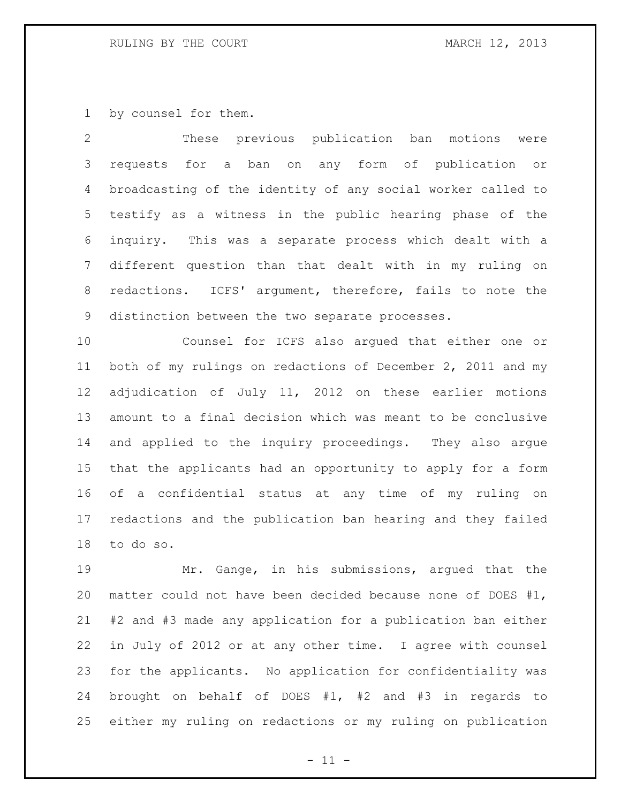by counsel for them.

 These previous publication ban motions were requests for a ban on any form of publication or broadcasting of the identity of any social worker called to testify as a witness in the public hearing phase of the inquiry. This was a separate process which dealt with a different question than that dealt with in my ruling on redactions. ICFS' argument, therefore, fails to note the distinction between the two separate processes.

 Counsel for ICFS also argued that either one or both of my rulings on redactions of December 2, 2011 and my adjudication of July 11, 2012 on these earlier motions amount to a final decision which was meant to be conclusive and applied to the inquiry proceedings. They also argue that the applicants had an opportunity to apply for a form of a confidential status at any time of my ruling on redactions and the publication ban hearing and they failed to do so.

 Mr. Gange, in his submissions, argued that the matter could not have been decided because none of DOES #1, #2 and #3 made any application for a publication ban either in July of 2012 or at any other time. I agree with counsel for the applicants. No application for confidentiality was brought on behalf of DOES #1, #2 and #3 in regards to either my ruling on redactions or my ruling on publication

 $-11 -$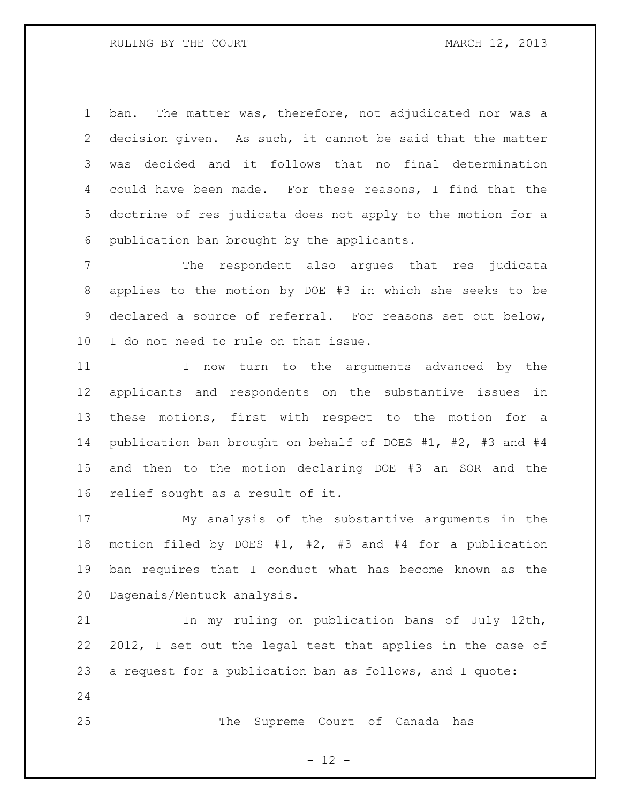ban. The matter was, therefore, not adjudicated nor was a decision given. As such, it cannot be said that the matter was decided and it follows that no final determination could have been made. For these reasons, I find that the doctrine of res judicata does not apply to the motion for a publication ban brought by the applicants.

 The respondent also argues that res judicata applies to the motion by DOE #3 in which she seeks to be declared a source of referral. For reasons set out below, I do not need to rule on that issue.

11 11 I now turn to the arguments advanced by the applicants and respondents on the substantive issues in these motions, first with respect to the motion for a publication ban brought on behalf of DOES #1, #2, #3 and #4 and then to the motion declaring DOE #3 an SOR and the relief sought as a result of it.

 My analysis of the substantive arguments in the motion filed by DOES #1, #2, #3 and #4 for a publication ban requires that I conduct what has become known as the Dagenais/Mentuck analysis.

 In my ruling on publication bans of July 12th, 2012, I set out the legal test that applies in the case of a request for a publication ban as follows, and I quote: 

The Supreme Court of Canada has

 $- 12 -$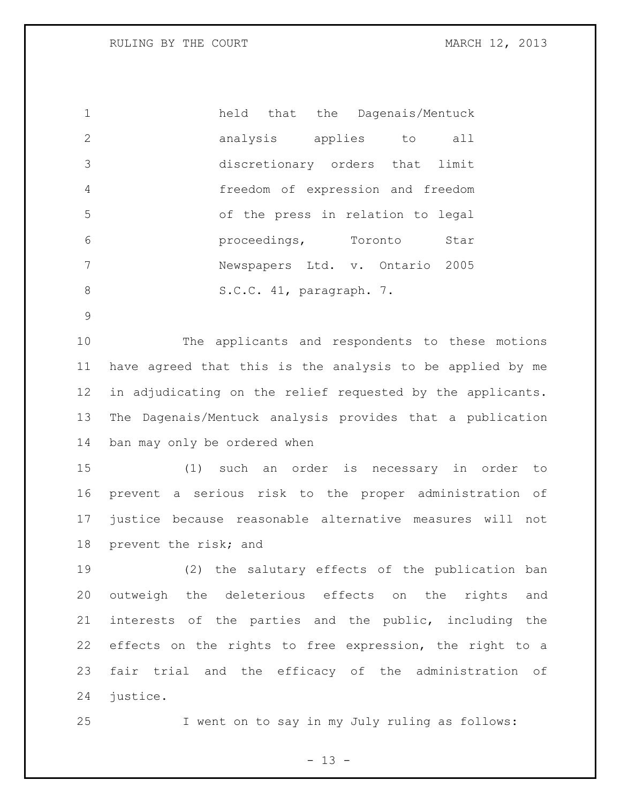RULING BY THE COURT **MARCH 12, 2013** 

 held that the Dagenais/Mentuck analysis applies to all discretionary orders that limit freedom of expression and freedom of the press in relation to legal proceedings, Toronto Star Newspapers Ltd. v. Ontario 2005 8 S.C.C. 41, paragraph. 7.

 The applicants and respondents to these motions have agreed that this is the analysis to be applied by me in adjudicating on the relief requested by the applicants. The Dagenais/Mentuck analysis provides that a publication ban may only be ordered when

 (1) such an order is necessary in order to prevent a serious risk to the proper administration of justice because reasonable alternative measures will not prevent the risk; and

 (2) the salutary effects of the publication ban outweigh the deleterious effects on the rights and interests of the parties and the public, including the effects on the rights to free expression, the right to a fair trial and the efficacy of the administration of justice.

I went on to say in my July ruling as follows:

 $- 13 -$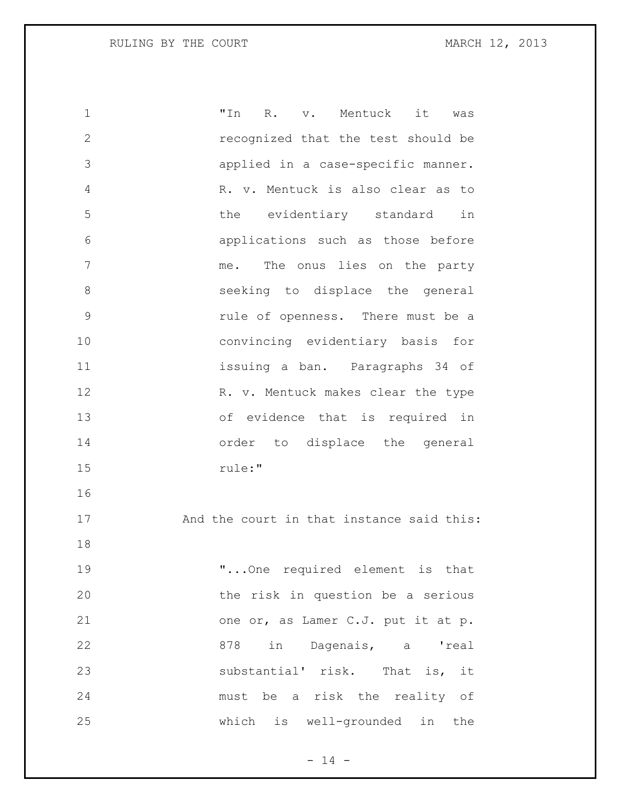| $\mathbf 1$   | "In                                       |  | R. v. Mentuck it |  | was |
|---------------|-------------------------------------------|--|------------------|--|-----|
| $\mathbf{2}$  | recognized that the test should be        |  |                  |  |     |
| 3             | applied in a case-specific manner.        |  |                  |  |     |
| 4             | R. v. Mentuck is also clear as to         |  |                  |  |     |
| 5             | the evidentiary standard in               |  |                  |  |     |
| 6             | applications such as those before         |  |                  |  |     |
| 7             | me. The onus lies on the party            |  |                  |  |     |
| 8             | seeking to displace the general           |  |                  |  |     |
| $\mathcal{G}$ | rule of openness. There must be a         |  |                  |  |     |
| 10            | convincing evidentiary basis for          |  |                  |  |     |
| 11            | issuing a ban. Paragraphs 34 of           |  |                  |  |     |
| 12            | R. v. Mentuck makes clear the type        |  |                  |  |     |
| 13            | of evidence that is required in           |  |                  |  |     |
| 14            | order to displace the general             |  |                  |  |     |
| 15            | rule:"                                    |  |                  |  |     |
| 16            |                                           |  |                  |  |     |
| 17            | And the court in that instance said this: |  |                  |  |     |
| 18            |                                           |  |                  |  |     |
| 19            | " One required element is that            |  |                  |  |     |
| 20            | the risk in question be a serious         |  |                  |  |     |
| 21            | one or, as Lamer C.J. put it at p.        |  |                  |  |     |
| 22            | 878 in Dagenais, a 'real                  |  |                  |  |     |
| 23            | substantial' risk. That is, it            |  |                  |  |     |
| 24            | must be a risk the reality of             |  |                  |  |     |
| 25            | which is well-grounded in the             |  |                  |  |     |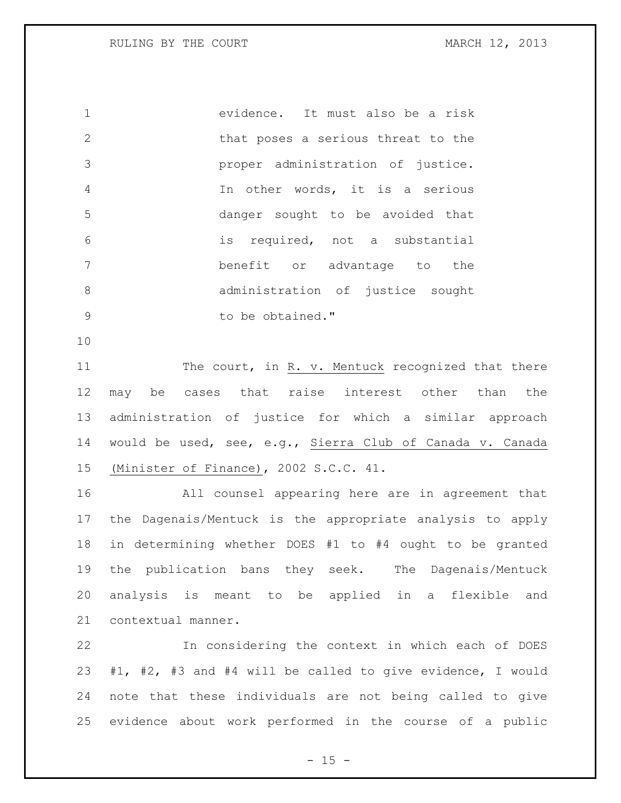evidence. It must also be a risk that poses a serious threat to the proper administration of justice. In other words, it is a serious danger sought to be avoided that is required, not a substantial benefit or advantage to the administration of justice sought 9 be obtained."

11 The court, in R. v. Mentuck recognized that there may be cases that raise interest other than the administration of justice for which a similar approach would be used, see, e.g., Sierra Club of Canada v. Canada (Minister of Finance), 2002 S.C.C. 41.

 All counsel appearing here are in agreement that the Dagenais/Mentuck is the appropriate analysis to apply in determining whether DOES #1 to #4 ought to be granted the publication bans they seek. The Dagenais/Mentuck analysis is meant to be applied in a flexible and contextual manner.

 In considering the context in which each of DOES #1, #2, #3 and #4 will be called to give evidence, I would note that these individuals are not being called to give evidence about work performed in the course of a public

 $- 15 -$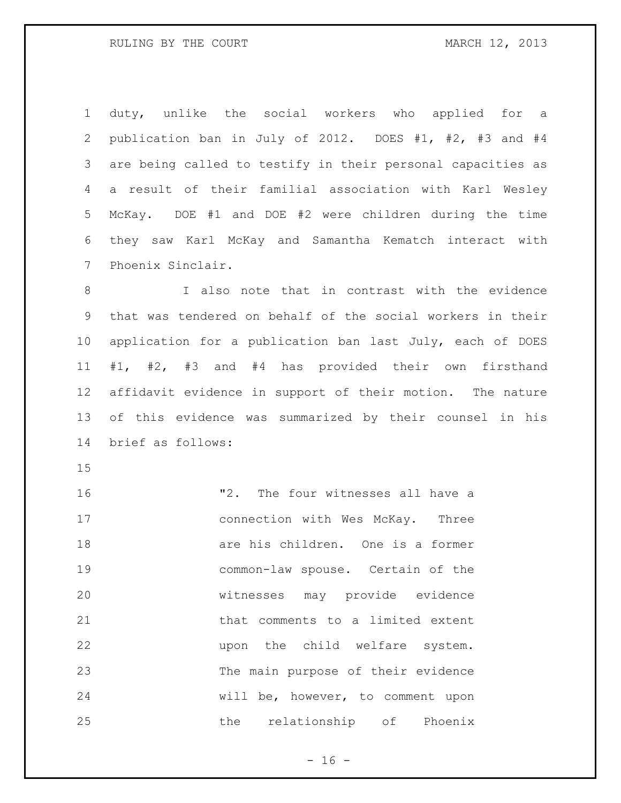duty, unlike the social workers who applied for a publication ban in July of 2012. DOES #1, #2, #3 and #4 are being called to testify in their personal capacities as a result of their familial association with Karl Wesley McKay. DOE #1 and DOE #2 were children during the time they saw Karl McKay and Samantha Kematch interact with Phoenix Sinclair.

8 I also note that in contrast with the evidence that was tendered on behalf of the social workers in their application for a publication ban last July, each of DOES #1, #2, #3 and #4 has provided their own firsthand affidavit evidence in support of their motion. The nature of this evidence was summarized by their counsel in his brief as follows:

 "2. The four witnesses all have a 17 connection with Wes McKay. Three are his children. One is a former common-law spouse. Certain of the witnesses may provide evidence that comments to a limited extent upon the child welfare system. The main purpose of their evidence will be, however, to comment upon 25 the relationship of Phoenix

 $- 16 -$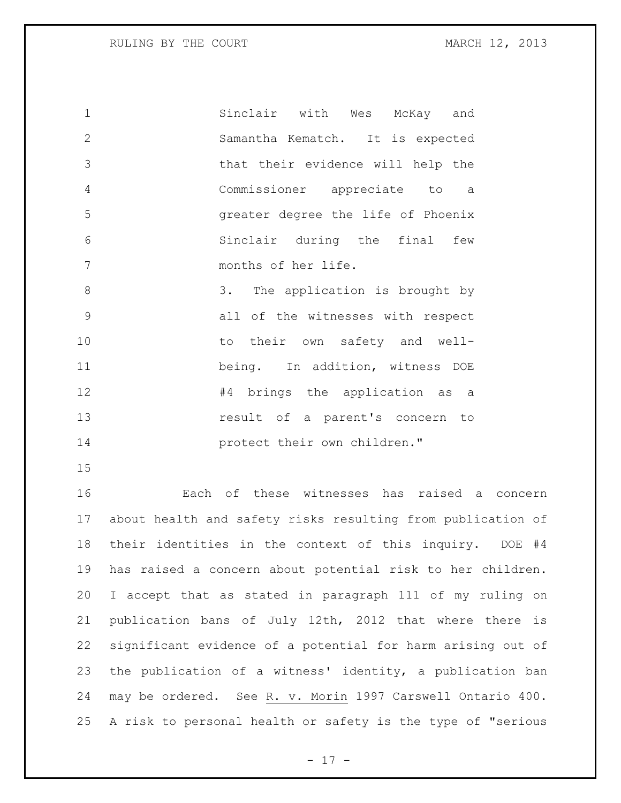Sinclair with Wes McKay and Samantha Kematch. It is expected that their evidence will help the Commissioner appreciate to a greater degree the life of Phoenix Sinclair during the final few months of her life. 3. The application is brought by all of the witnesses with respect 10 to their own safety and well- being. In addition, witness DOE **#4** brings the application as a result of a parent's concern to **protect** their own children."

 Each of these witnesses has raised a concern about health and safety risks resulting from publication of their identities in the context of this inquiry. DOE #4 has raised a concern about potential risk to her children. I accept that as stated in paragraph 111 of my ruling on publication bans of July 12th, 2012 that where there is significant evidence of a potential for harm arising out of the publication of a witness' identity, a publication ban may be ordered. See R. v. Morin 1997 Carswell Ontario 400. A risk to personal health or safety is the type of "serious

- 17 -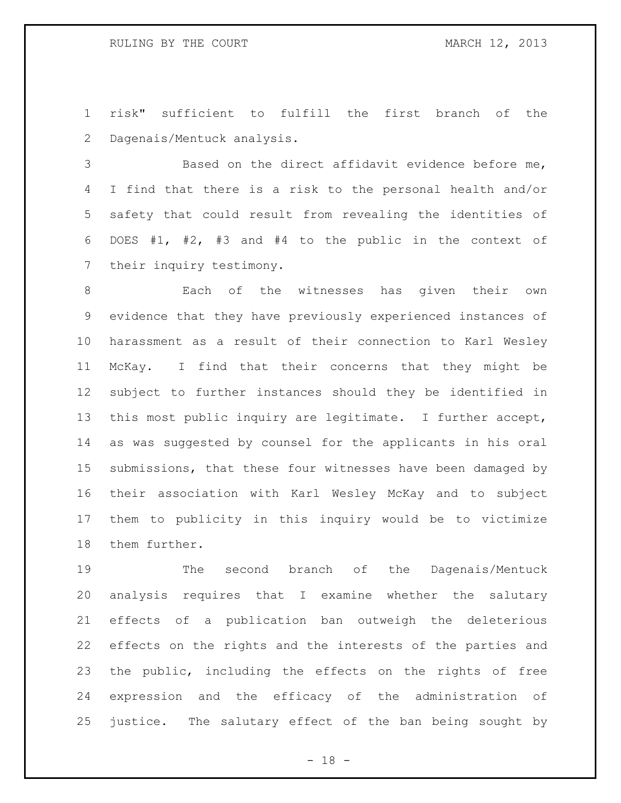risk" sufficient to fulfill the first branch of the Dagenais/Mentuck analysis.

 Based on the direct affidavit evidence before me, I find that there is a risk to the personal health and/or safety that could result from revealing the identities of DOES #1, #2, #3 and #4 to the public in the context of their inquiry testimony.

 Each of the witnesses has given their own evidence that they have previously experienced instances of harassment as a result of their connection to Karl Wesley McKay. I find that their concerns that they might be subject to further instances should they be identified in this most public inquiry are legitimate. I further accept, as was suggested by counsel for the applicants in his oral submissions, that these four witnesses have been damaged by their association with Karl Wesley McKay and to subject them to publicity in this inquiry would be to victimize them further.

 The second branch of the Dagenais/Mentuck analysis requires that I examine whether the salutary effects of a publication ban outweigh the deleterious effects on the rights and the interests of the parties and the public, including the effects on the rights of free expression and the efficacy of the administration of justice. The salutary effect of the ban being sought by

 $- 18 -$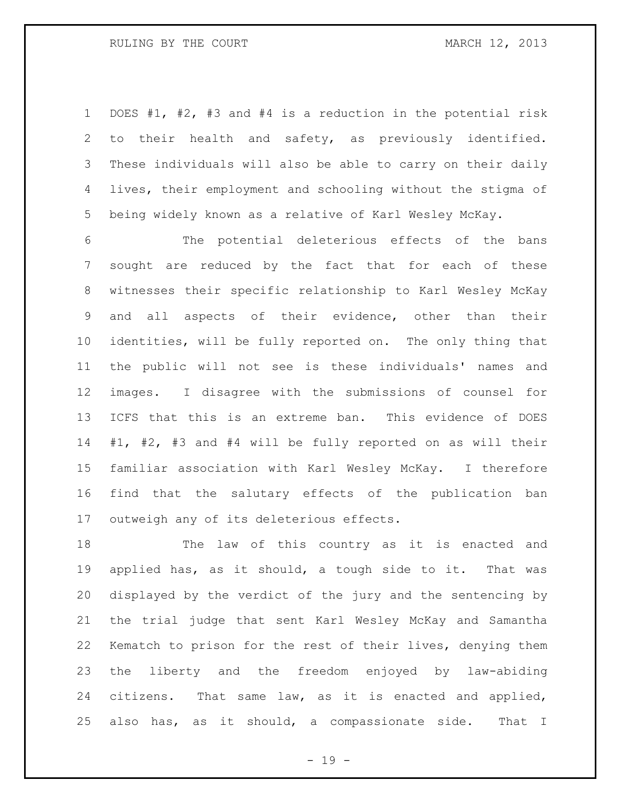RULING BY THE COURT **MARCH 12, 2013** 

 DOES #1, #2, #3 and #4 is a reduction in the potential risk to their health and safety, as previously identified. These individuals will also be able to carry on their daily lives, their employment and schooling without the stigma of being widely known as a relative of Karl Wesley McKay.

 The potential deleterious effects of the bans sought are reduced by the fact that for each of these witnesses their specific relationship to Karl Wesley McKay and all aspects of their evidence, other than their identities, will be fully reported on. The only thing that the public will not see is these individuals' names and images. I disagree with the submissions of counsel for ICFS that this is an extreme ban. This evidence of DOES #1, #2, #3 and #4 will be fully reported on as will their familiar association with Karl Wesley McKay. I therefore find that the salutary effects of the publication ban outweigh any of its deleterious effects.

 The law of this country as it is enacted and applied has, as it should, a tough side to it. That was displayed by the verdict of the jury and the sentencing by the trial judge that sent Karl Wesley McKay and Samantha Kematch to prison for the rest of their lives, denying them the liberty and the freedom enjoyed by law-abiding citizens. That same law, as it is enacted and applied, also has, as it should, a compassionate side. That I

- 19 -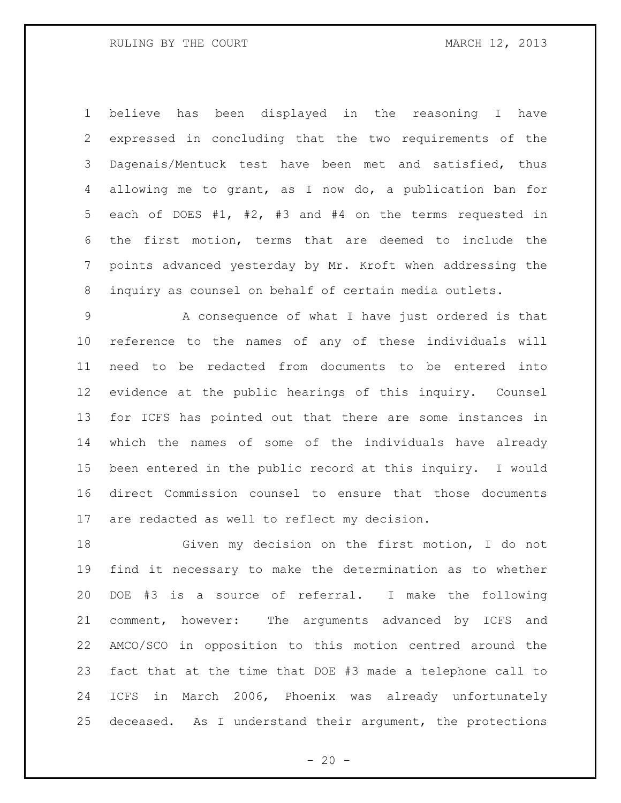believe has been displayed in the reasoning I have expressed in concluding that the two requirements of the Dagenais/Mentuck test have been met and satisfied, thus allowing me to grant, as I now do, a publication ban for each of DOES #1, #2, #3 and #4 on the terms requested in the first motion, terms that are deemed to include the points advanced yesterday by Mr. Kroft when addressing the inquiry as counsel on behalf of certain media outlets.

 A consequence of what I have just ordered is that reference to the names of any of these individuals will need to be redacted from documents to be entered into evidence at the public hearings of this inquiry. Counsel for ICFS has pointed out that there are some instances in which the names of some of the individuals have already been entered in the public record at this inquiry. I would direct Commission counsel to ensure that those documents are redacted as well to reflect my decision.

 Given my decision on the first motion, I do not find it necessary to make the determination as to whether DOE #3 is a source of referral. I make the following comment, however: The arguments advanced by ICFS and AMCO/SCO in opposition to this motion centred around the fact that at the time that DOE #3 made a telephone call to ICFS in March 2006, Phoenix was already unfortunately deceased. As I understand their argument, the protections

 $- 20 -$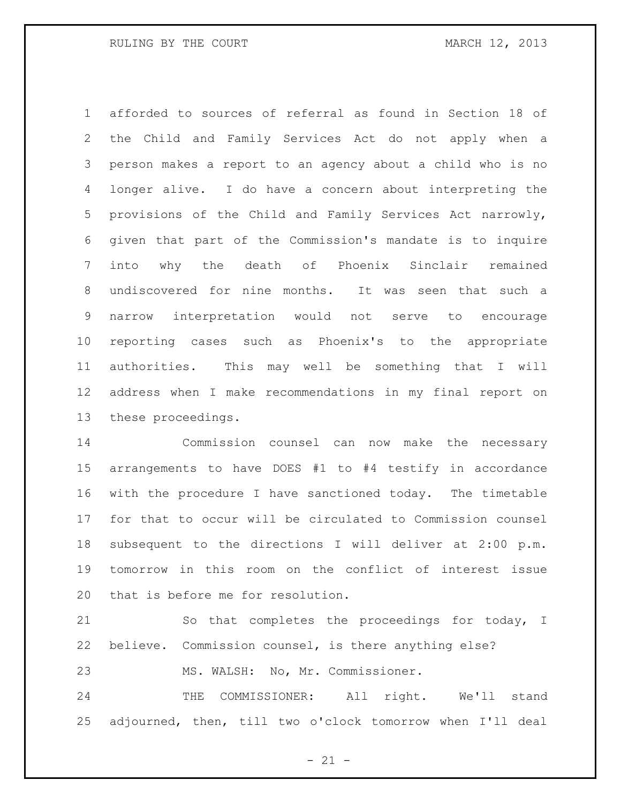afforded to sources of referral as found in Section 18 of the Child and Family Services Act do not apply when a person makes a report to an agency about a child who is no longer alive. I do have a concern about interpreting the provisions of the Child and Family Services Act narrowly, given that part of the Commission's mandate is to inquire into why the death of Phoenix Sinclair remained undiscovered for nine months. It was seen that such a narrow interpretation would not serve to encourage reporting cases such as Phoenix's to the appropriate authorities. This may well be something that I will address when I make recommendations in my final report on these proceedings.

 Commission counsel can now make the necessary arrangements to have DOES #1 to #4 testify in accordance with the procedure I have sanctioned today. The timetable for that to occur will be circulated to Commission counsel subsequent to the directions I will deliver at 2:00 p.m. tomorrow in this room on the conflict of interest issue that is before me for resolution.

 So that completes the proceedings for today, I believe. Commission counsel, is there anything else? MS. WALSH: No, Mr. Commissioner.

24 THE COMMISSIONER: All right. We'll stand adjourned, then, till two o'clock tomorrow when I'll deal

 $- 21 -$